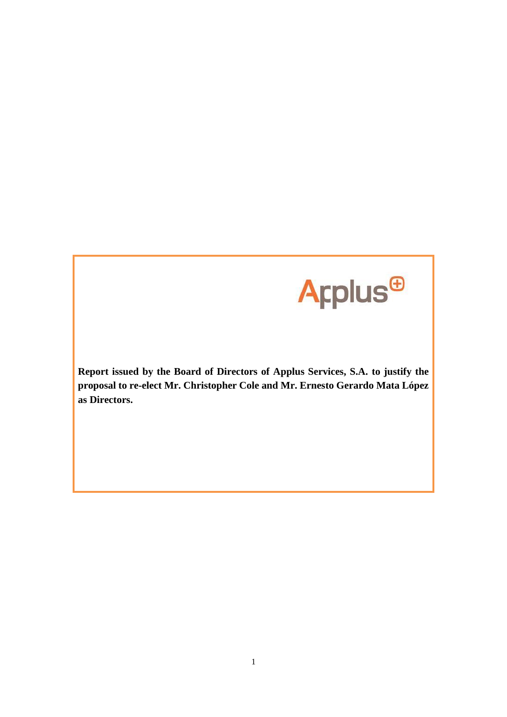

**Report issued by the Board of Directors of Applus Services, S.A. to justify the proposal to re-elect Mr. Christopher Cole and Mr. Ernesto Gerardo Mata López as Directors.**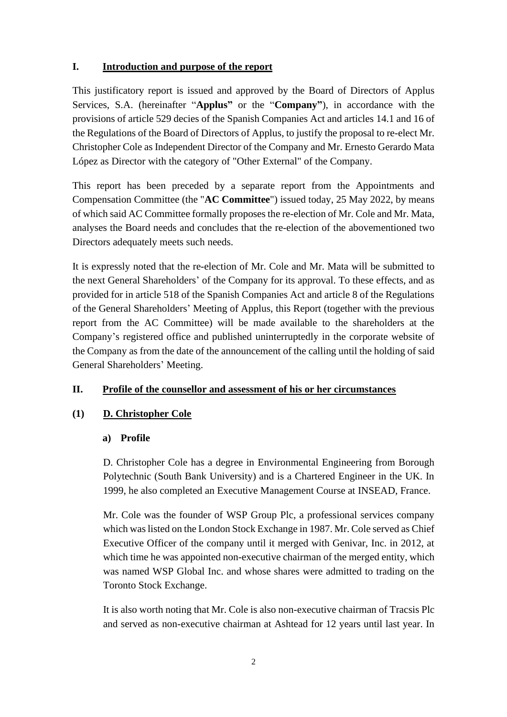## **I. Introduction and purpose of the report**

This justificatory report is issued and approved by the Board of Directors of Applus Services, S.A. (hereinafter "**Applus"** or the "**Company"**), in accordance with the provisions of article 529 decies of the Spanish Companies Act and articles 14.1 and 16 of the Regulations of the Board of Directors of Applus, to justify the proposal to re-elect Mr. Christopher Cole as Independent Director of the Company and Mr. Ernesto Gerardo Mata López as Director with the category of "Other External" of the Company.

This report has been preceded by a separate report from the Appointments and Compensation Committee (the "**AC Committee**") issued today, 25 May 2022, by means of which said AC Committee formally proposes the re-election of Mr. Cole and Mr. Mata, analyses the Board needs and concludes that the re-election of the abovementioned two Directors adequately meets such needs.

It is expressly noted that the re-election of Mr. Cole and Mr. Mata will be submitted to the next General Shareholders' of the Company for its approval. To these effects, and as provided for in article 518 of the Spanish Companies Act and article 8 of the Regulations of the General Shareholders' Meeting of Applus, this Report (together with the previous report from the AC Committee) will be made available to the shareholders at the Company's registered office and published uninterruptedly in the corporate website of the Company as from the date of the announcement of the calling until the holding of said General Shareholders' Meeting.

# **II. Profile of the counsellor and assessment of his or her circumstances**

# **(1) D. Christopher Cole**

### **a) Profile**

D. Christopher Cole has a degree in Environmental Engineering from Borough Polytechnic (South Bank University) and is a Chartered Engineer in the UK. In 1999, he also completed an Executive Management Course at INSEAD, France.

Mr. Cole was the founder of WSP Group Plc, a professional services company which was listed on the London Stock Exchange in 1987. Mr. Cole served as Chief Executive Officer of the company until it merged with Genivar, Inc. in 2012, at which time he was appointed non-executive chairman of the merged entity, which was named WSP Global Inc. and whose shares were admitted to trading on the Toronto Stock Exchange.

It is also worth noting that Mr. Cole is also non-executive chairman of Tracsis Plc and served as non-executive chairman at Ashtead for 12 years until last year. In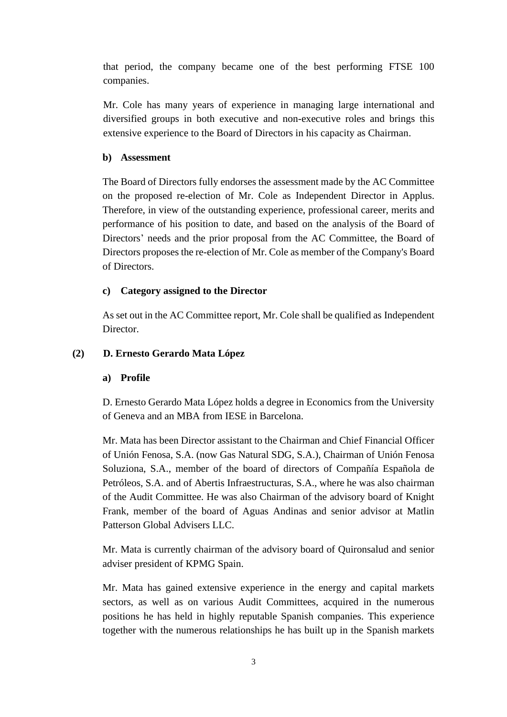that period, the company became one of the best performing FTSE 100 companies.

Mr. Cole has many years of experience in managing large international and diversified groups in both executive and non-executive roles and brings this extensive experience to the Board of Directors in his capacity as Chairman.

### **b) Assessment**

The Board of Directors fully endorses the assessment made by the AC Committee on the proposed re-election of Mr. Cole as Independent Director in Applus. Therefore, in view of the outstanding experience, professional career, merits and performance of his position to date, and based on the analysis of the Board of Directors' needs and the prior proposal from the AC Committee, the Board of Directors proposes the re-election of Mr. Cole as member of the Company's Board of Directors.

### **c) Category assigned to the Director**

As set out in the AC Committee report, Mr. Cole shall be qualified as Independent Director.

#### **(2) D. Ernesto Gerardo Mata López**

#### **a) Profile**

D. Ernesto Gerardo Mata López holds a degree in Economics from the University of Geneva and an MBA from IESE in Barcelona.

Mr. Mata has been Director assistant to the Chairman and Chief Financial Officer of Unión Fenosa, S.A. (now Gas Natural SDG, S.A.), Chairman of Unión Fenosa Soluziona, S.A., member of the board of directors of Compañía Española de Petróleos, S.A. and of Abertis Infraestructuras, S.A., where he was also chairman of the Audit Committee. He was also Chairman of the advisory board of Knight Frank, member of the board of Aguas Andinas and senior advisor at Matlin Patterson Global Advisers LLC.

Mr. Mata is currently chairman of the advisory board of Quironsalud and senior adviser president of KPMG Spain.

Mr. Mata has gained extensive experience in the energy and capital markets sectors, as well as on various Audit Committees, acquired in the numerous positions he has held in highly reputable Spanish companies. This experience together with the numerous relationships he has built up in the Spanish markets